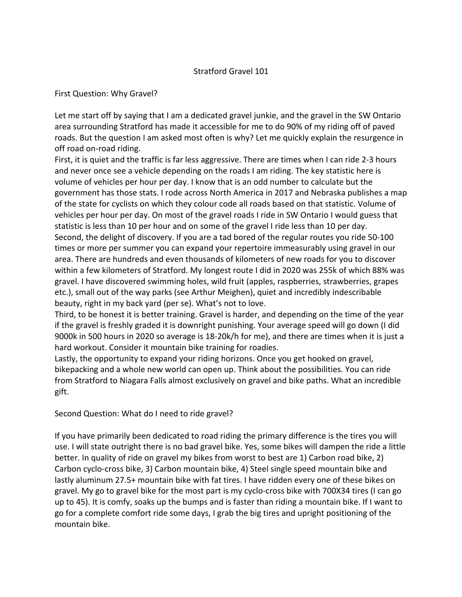## Stratford Gravel 101

## First Question: Why Gravel?

Let me start off by saying that I am a dedicated gravel junkie, and the gravel in the SW Ontario area surrounding Stratford has made it accessible for me to do 90% of my riding off of paved roads. But the question I am asked most often is why? Let me quickly explain the resurgence in off road on-road riding.

First, it is quiet and the traffic is far less aggressive. There are times when I can ride 2-3 hours and never once see a vehicle depending on the roads I am riding. The key statistic here is volume of vehicles per hour per day. I know that is an odd number to calculate but the government has those stats. I rode across North America in 2017 and Nebraska publishes a map of the state for cyclists on which they colour code all roads based on that statistic. Volume of vehicles per hour per day. On most of the gravel roads I ride in SW Ontario I would guess that statistic is less than 10 per hour and on some of the gravel I ride less than 10 per day. Second, the delight of discovery. If you are a tad bored of the regular routes you ride 50-100 times or more per summer you can expand your repertoire immeasurably using gravel in our area. There are hundreds and even thousands of kilometers of new roads for you to discover within a few kilometers of Stratford. My longest route I did in 2020 was 255k of which 88% was gravel. I have discovered swimming holes, wild fruit (apples, raspberries, strawberries, grapes etc.), small out of the way parks (see Arthur Meighen), quiet and incredibly indescribable beauty, right in my back yard (per se). What's not to love.

Third, to be honest it is better training. Gravel is harder, and depending on the time of the year if the gravel is freshly graded it is downright punishing. Your average speed will go down (I did 9000k in 500 hours in 2020 so average is 18-20k/h for me), and there are times when it is just a hard workout. Consider it mountain bike training for roadies.

Lastly, the opportunity to expand your riding horizons. Once you get hooked on gravel, bikepacking and a whole new world can open up. Think about the possibilities. You can ride from Stratford to Niagara Falls almost exclusively on gravel and bike paths. What an incredible gift.

## Second Question: What do I need to ride gravel?

If you have primarily been dedicated to road riding the primary difference is the tires you will use. I will state outright there is no bad gravel bike. Yes, some bikes will dampen the ride a little better. In quality of ride on gravel my bikes from worst to best are 1) Carbon road bike, 2) Carbon cyclo-cross bike, 3) Carbon mountain bike, 4) Steel single speed mountain bike and lastly aluminum 27.5+ mountain bike with fat tires. I have ridden every one of these bikes on gravel. My go to gravel bike for the most part is my cyclo-cross bike with 700X34 tires (I can go up to 45). It is comfy, soaks up the bumps and is faster than riding a mountain bike. If I want to go for a complete comfort ride some days, I grab the big tires and upright positioning of the mountain bike.